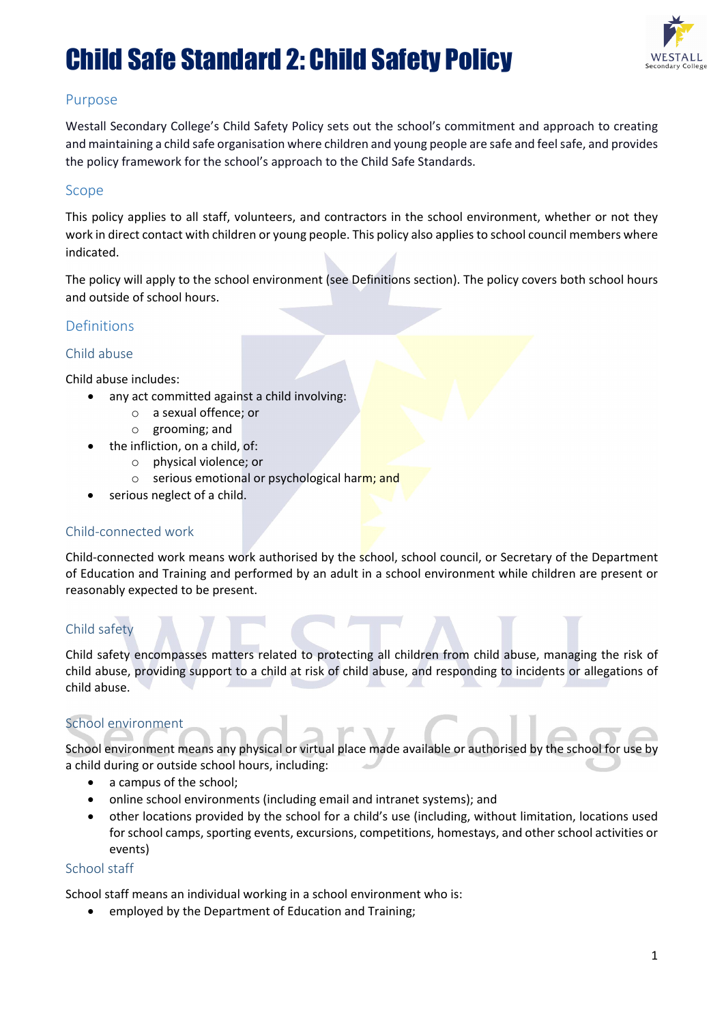

#### Purpose

Westall Secondary College's Child Safety Policy sets out the school's commitment and approach to creating and maintaining a child safe organisation where children and young people are safe and feel safe, and provides the policy framework for the school's approach to the Child Safe Standards.

#### Scope

This policy applies to all staff, volunteers, and contractors in the school environment, whether or not they work in direct contact with children or young people. This policy also applies to school council members where indicated.

The policy will apply to the school environment (see Definitions section). The policy covers both school hours and outside of school hours.

#### Definitions

#### Child abuse

Child abuse includes:

- any act committed against a child involving:
	- o a sexual offence; or
	- o grooming; and
- the infliction, on a child, of:
	- o physical violence; or
		- o serious emotional or psychological harm; and
- serious neglect of a child.

#### Child-connected work

Child-connected work means work authorised by the school, school council, or Secretary of the Department of Education and Training and performed by an adult in a school environment while children are present or reasonably expected to be present.

#### Child safety

Child safety encompasses matters related to protecting all children from child abuse, managing the risk of child abuse, providing support to a child at risk of child abuse, and responding to incidents or allegations of child abuse.

#### School environment

School environment means any physical or virtual place made available or authorised by the school for use by a child during or outside school hours, including:

- a campus of the school;
- online school environments (including email and intranet systems); and
- other locations provided by the school for a child's use (including, without limitation, locations used for school camps, sporting events, excursions, competitions, homestays, and other school activities or events)

#### School staff

School staff means an individual working in a school environment who is:

• employed by the Department of Education and Training;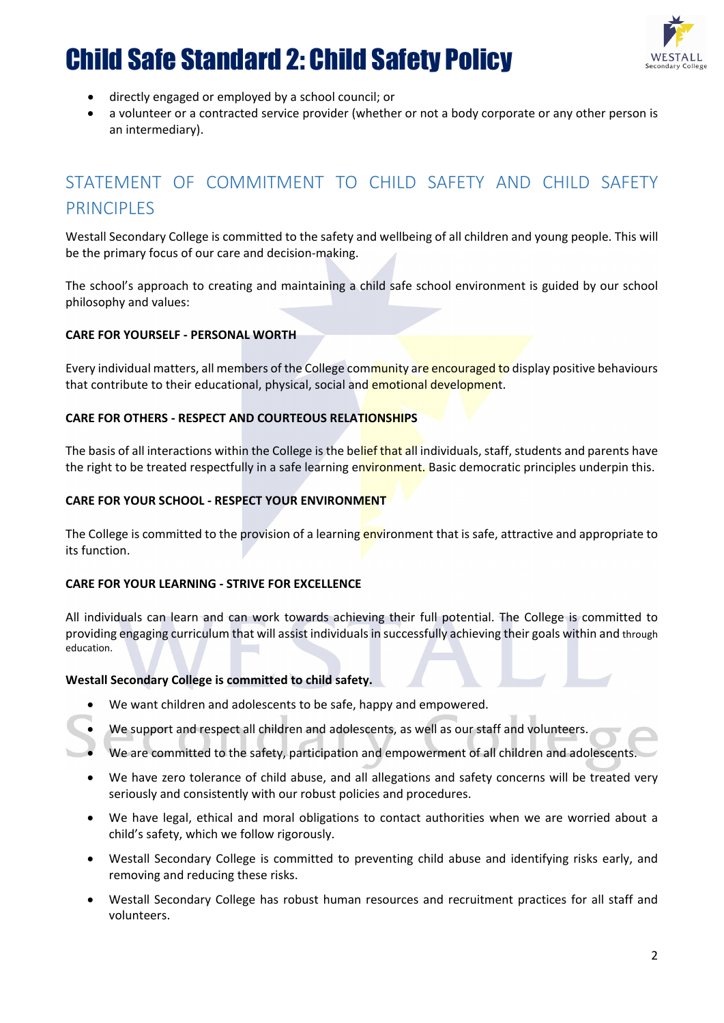

- directly engaged or employed by a school council; or
- a volunteer or a contracted service provider (whether or not a body corporate or any other person is an intermediary).

## STATEMENT OF COMMITMENT TO CHILD SAFETY AND CHILD SAFETY PRINCIPI **FS**

Westall Secondary College is committed to the safety and wellbeing of all children and young people. This will be the primary focus of our care and decision-making.

The school's approach to creating and maintaining a child safe school environment is guided by our school philosophy and values:

#### **CARE FOR YOURSELF - PERSONAL WORTH**

Every individual matters, all members of the College community are encouraged to display positive behaviours that contribute to their educational, physical, social and emotional development.

#### **CARE FOR OTHERS - RESPECT AND COURTEOUS RELATIONSHIPS**

The basis of all interactions within the College is the belief that all individuals, staff, students and parents have the right to be treated respectfully in a safe learning environment. Basic democratic principles underpin this.

#### **CARE FOR YOUR SCHOOL - RESPECT YOUR ENVIRONMENT**

The College is committed to the provision of a learning environment that is safe, attractive and appropriate to its function.

#### **CARE FOR YOUR LEARNING - STRIVE FOR EXCELLENCE**

All individuals can learn and can work towards achieving their full potential. The College is committed to providing engaging curriculum that will assist individuals in successfully achieving their goals within and through education.

#### **Westall Secondary College is committed to child safety.**

- We want children and adolescents to be safe, happy and empowered.
- We support and respect all children and adolescents, as well as our staff and volunteers.
- We are committed to the safety, participation and empowerment of all children and adolescents.
- We have zero tolerance of child abuse, and all allegations and safety concerns will be treated very seriously and consistently with our robust policies and procedures.
- We have legal, ethical and moral obligations to contact authorities when we are worried about a child's safety, which we follow rigorously.
- Westall Secondary College is committed to preventing child abuse and identifying risks early, and removing and reducing these risks.
- Westall Secondary College has robust human resources and recruitment practices for all staff and volunteers.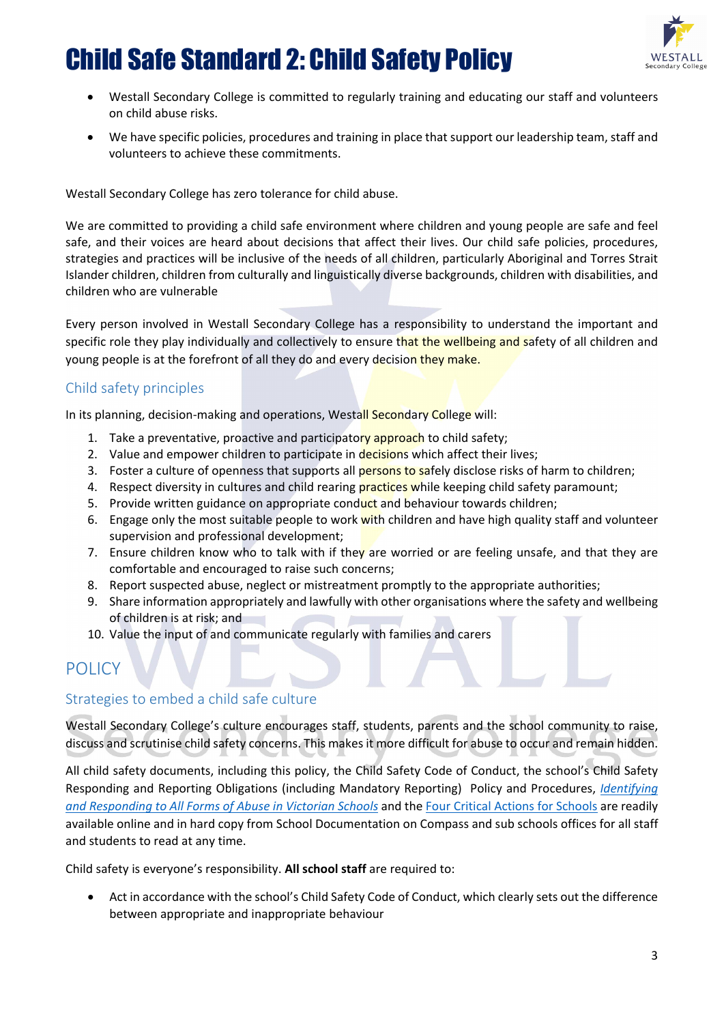

- Westall Secondary College is committed to regularly training and educating our staff and volunteers on child abuse risks.
- We have specific policies, procedures and training in place that support our leadership team, staff and volunteers to achieve these commitments.

Westall Secondary College has zero tolerance for child abuse.

We are committed to providing a child safe environment where children and young people are safe and feel safe, and their voices are heard about decisions that affect their lives. Our child safe policies, procedures, strategies and practices will be inclusive of the needs of all children, particularly Aboriginal and Torres Strait Islander children, children from culturally and linguistically diverse backgrounds, children with disabilities, and children who are vulnerable

Every person involved in Westall Secondary College has a responsibility to understand the important and specific role they play individually and collectively to ensure that the wellbeing and safety of all children and young people is at the forefront of all they do and every decision they make.

#### Child safety principles

In its planning, decision-making and operations, Westall Secondary College will:

- 1. Take a preventative, proactive and participatory approach to child safety;
- 2. Value and empower children to participate in decisions which affect their lives;
- 3. Foster a culture of openness that supports all persons to safely disclose risks of harm to children;
- 4. Respect diversity in cultures and child rearing practices while keeping child safety paramount;
- 5. Provide written guidance on appropriate conduct and behaviour towards children;
- 6. Engage only the most suitable people to work with children and have high quality staff and volunteer supervision and professional development;
- 7. Ensure children know who to talk with if the all are worried or are feeling unsafe, and that they are comfortable and encouraged to raise such concerns;
- 8. Report suspected abuse, neglect or mistreatment promptly to the appropriate authorities;
- 9. Share information appropriately and lawfully with other organisations where the safety and wellbeing of children is at risk; and
- 10. Value the input of and communicate regularly with families and carers

## POLICY

#### Strategies to embed a child safe culture

Westall Secondary College's culture encourages staff, students, parents and the school community to raise, discuss and scrutinise child safety concerns. This makes it more difficult for abuse to occur and remain hidden.

All child safety documents, including this policy, the Child Safety Code of Conduct, the school's Child Safety Responding and Reporting Obligations (including Mandatory Reporting) Policy and Procedures, *[Identifying](https://www.education.vic.gov.au/Documents/about/programs/health/protect/ChildSafeStandard5_SchoolsGuide.pdf)  [and Responding to All Forms of Abuse in Victorian Schools](https://www.education.vic.gov.au/Documents/about/programs/health/protect/ChildSafeStandard5_SchoolsGuide.pdf)* and the [Four Critical Actions for Schools](https://www.education.vic.gov.au/Documents/about/programs/health/protect/FourCriticalActions_ChildAbuse.pdf) are readily available online and in hard copy from School Documentation on Compass and sub schools offices for all staff and students to read at any time.

Child safety is everyone's responsibility. **All school staff** are required to:

• Act in accordance with the school's Child Safety Code of Conduct, which clearly sets out the difference between appropriate and inappropriate behaviour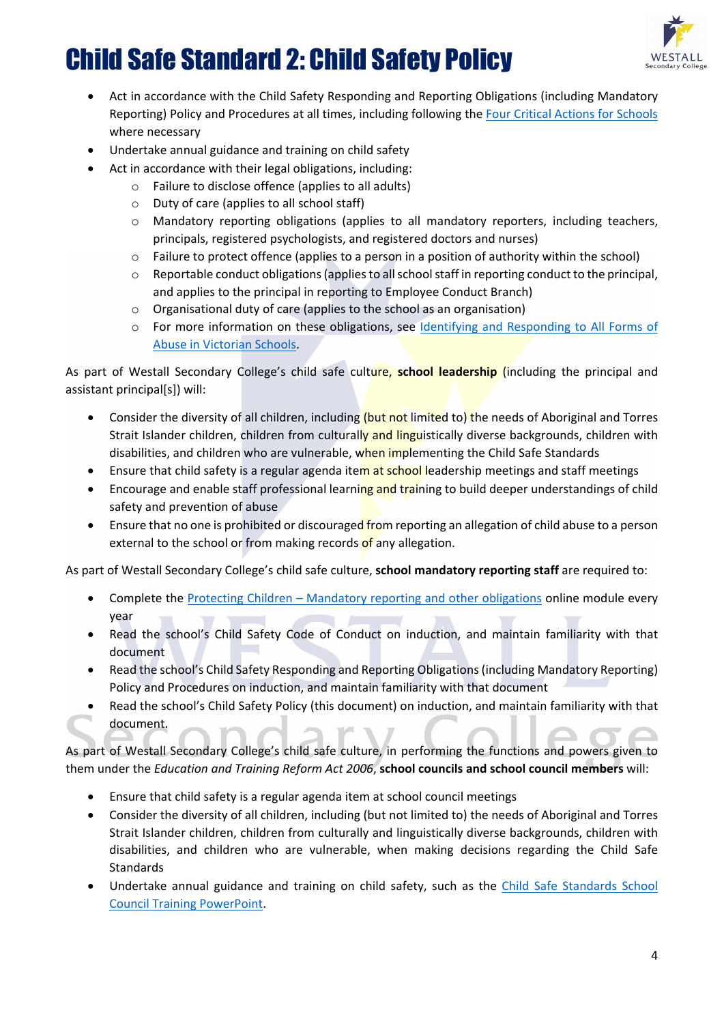

- Act in accordance with the Child Safety Responding and Reporting Obligations (including Mandatory Reporting) Policy and Procedures at all times, including following the [Four Critical Actions for Schools](https://www.education.vic.gov.au/Documents/about/programs/health/protect/FourCriticalActions_ChildAbuse.pdf) where necessary
- Undertake annual guidance and training on child safety
- Act in accordance with their legal obligations, including:
	- o Failure to disclose offence (applies to all adults)
	- o Duty of care (applies to all school staff)
	- o Mandatory reporting obligations (applies to all mandatory reporters, including teachers, principals, registered psychologists, and registered doctors and nurses)
	- o Failure to protect offence (applies to a person in a position of authority within the school)
	- $\circ$  Reportable conduct obligations (applies to all school staff in reporting conduct to the principal, and applies to the principal in reporting to Employee Conduct Branch)
	- o Organisational duty of care (applies to the school as an organisation)
	- o For more information on these obligations, see [Identifying and Responding to All Forms of](https://www.education.vic.gov.au/Documents/about/programs/health/protect/ChildSafeStandard5_SchoolsGuide.pdf)  [Abuse in Victorian Schools.](https://www.education.vic.gov.au/Documents/about/programs/health/protect/ChildSafeStandard5_SchoolsGuide.pdf)

As part of Westall Secondary College's child safe culture, **school leadership** (including the principal and assistant principal[s]) will:

- Consider the diversity of all children, including (but not limited to) the needs of Aboriginal and Torres Strait Islander children, children from culturally and linguistically diverse backgrounds, children with disabilities, and children who are vulnerable, when implementing the Child Safe Standards
- Ensure that child safety is a regular agenda item at school leadership meetings and staff meetings
- Encourage and enable staff professional learning and training to build deeper understandings of child safety and prevention of abuse
- Ensure that no one is prohibited or discouraged from reporting an allegation of child abuse to a person external to the school or from making records of any allegation.

As part of Westall Secondary College's child safe culture, **school mandatory reporting staff** are required to:

- Complete the Protecting Children [Mandatory reporting and other obligations](http://elearn.com.au/det/protectingchildren/) online module every year
- Read the school's Child Safety Code of Conduct on induction, and maintain familiarity with that document
- Read the school's Child Safety Responding and Reporting Obligations(including Mandatory Reporting) Policy and Procedures on induction, and maintain familiarity with that document
- Read the school's Child Safety Policy (this document) on induction, and maintain familiarity with that document.

As part of Westall Secondary College's child safe culture, in performing the functions and powers given to them under the *Education and Training Reform Act 2006*, **school councils and school council members** will:

- Ensure that child safety is a regular agenda item at school council meetings
- Consider the diversity of all children, including (but not limited to) the needs of Aboriginal and Torres Strait Islander children, children from culturally and linguistically diverse backgrounds, children with disabilities, and children who are vulnerable, when making decisions regarding the Child Safe **Standards**
- Undertake annual guidance and training on child safety, such as the Child Safe Standards School [Council Training](https://www.education.vic.gov.au/Documents/about/programs/health/protect/school-council-training.pptx) PowerPoint.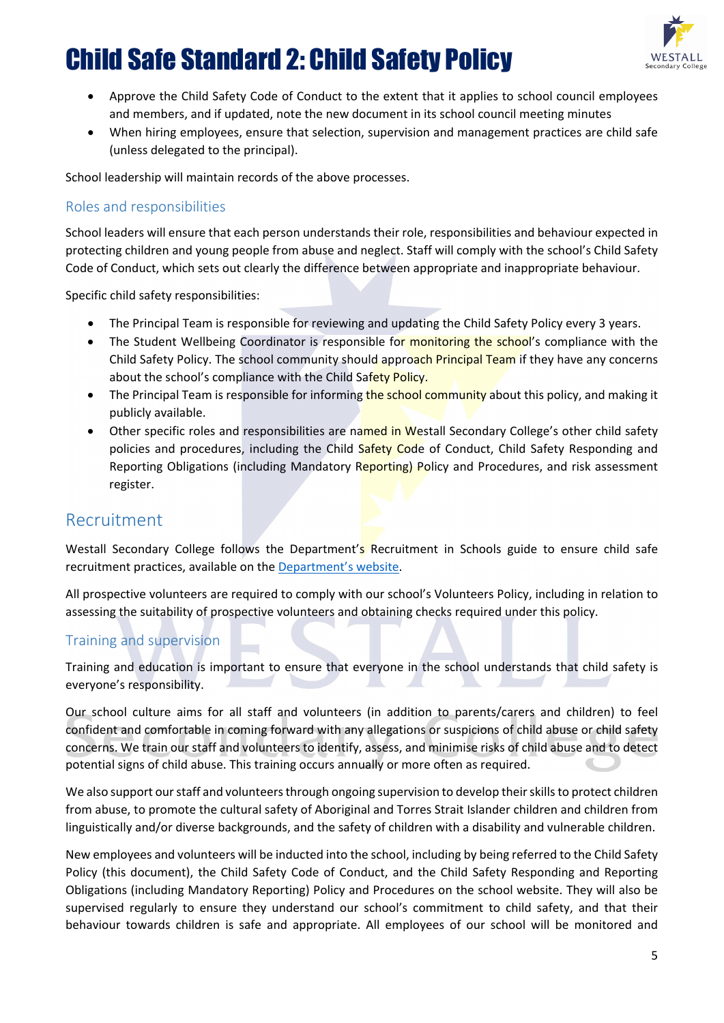

- Approve the Child Safety Code of Conduct to the extent that it applies to school council employees and members, and if updated, note the new document in its school council meeting minutes
- When hiring employees, ensure that selection, supervision and management practices are child safe (unless delegated to the principal).

School leadership will maintain records of the above processes.

#### Roles and responsibilities

School leaders will ensure that each person understands their role, responsibilities and behaviour expected in protecting children and young people from abuse and neglect. Staff will comply with the school's Child Safety Code of Conduct, which sets out clearly the difference between appropriate and inappropriate behaviour.

Specific child safety responsibilities:

- The Principal Team is responsible for reviewing and updating the Child Safety Policy every 3 years.
- The Student Wellbeing Coordinator is responsible for monitoring the school's compliance with the Child Safety Policy. The school community should approach Principal Team if they have any concerns about the school's compliance with the Child Safety Policy.
- The Principal Team is responsible for informing the school community about this policy, and making it publicly available.
- Other specific roles and responsibilities are named in Westall Secondary College's other child safety policies and procedures, including the Child Safety Code of Conduct, Child Safety Responding and Reporting Obligations (including Mandatory Reporting) Policy and Procedures, and risk assessment register.

## Recruitment

Westall Secondary College follows the Department's Recruitment in Schools guide to ensure child safe recruitment practices, available on the [Department's website.](https://www.education.vic.gov.au/hrweb/careers/Pages/recruitinsch.aspx)

All prospective volunteers are required to comply with our school's Volunteers Policy, including in relation to assessing the suitability of prospective volunteers and obtaining checks required under this policy.

#### Training and supervision

Training and education is important to ensure that everyone in the school understands that child safety is everyone's responsibility.

Our school culture aims for all staff and volunteers (in addition to parents/carers and children) to feel confident and comfortable in coming forward with any allegations or suspicions of child abuse or child safety concerns. We train our staff and volunteers to identify, assess, and minimise risks of child abuse and to detect potential signs of child abuse. This training occurs annually or more often as required.

We also support our staff and volunteers through ongoing supervision to develop their skills to protect children from abuse, to promote the cultural safety of Aboriginal and Torres Strait Islander children and children from linguistically and/or diverse backgrounds, and the safety of children with a disability and vulnerable children.

New employees and volunteers will be inducted into the school, including by being referred to the Child Safety Policy (this document), the Child Safety Code of Conduct, and the Child Safety Responding and Reporting Obligations (including Mandatory Reporting) Policy and Procedures on the school website. They will also be supervised regularly to ensure they understand our school's commitment to child safety, and that their behaviour towards children is safe and appropriate. All employees of our school will be monitored and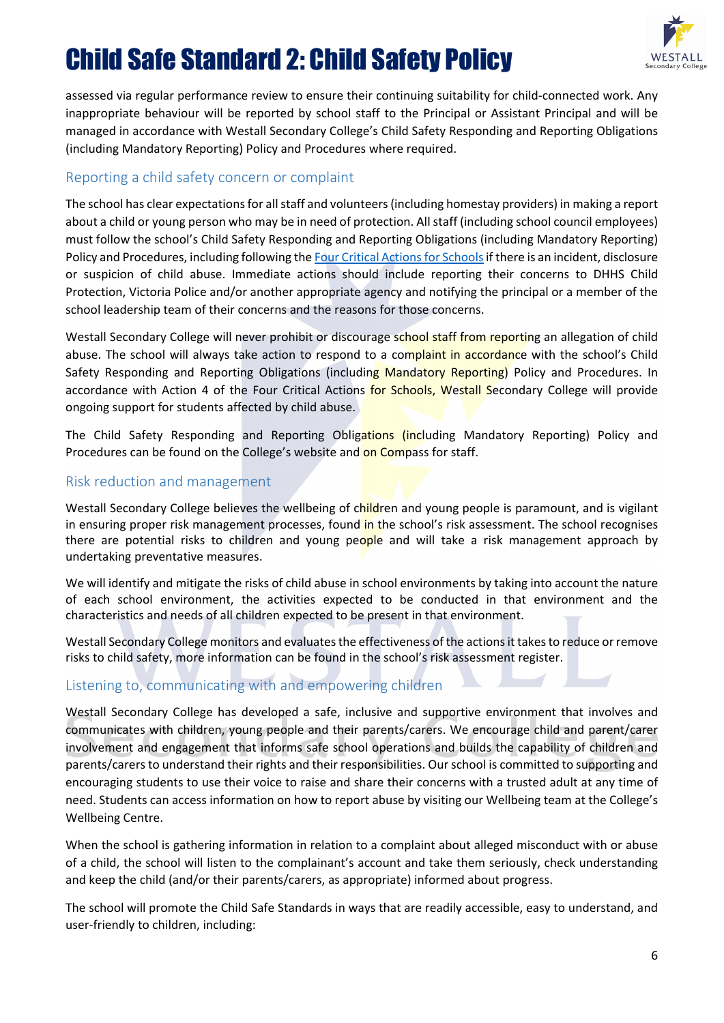

assessed via regular performance review to ensure their continuing suitability for child-connected work. Any inappropriate behaviour will be reported by school staff to the Principal or Assistant Principal and will be managed in accordance with Westall Secondary College's Child Safety Responding and Reporting Obligations (including Mandatory Reporting) Policy and Procedures where required.

#### Reporting a child safety concern or complaint

The school has clear expectations for all staff and volunteers(including homestay providers) in making a report about a child or young person who may be in need of protection. All staff (including school council employees) must follow the school's Child Safety Responding and Reporting Obligations (including Mandatory Reporting) Policy and Procedures, including following the Four Critical Actions for Schools if there is an incident, disclosure or suspicion of child abuse. Immediate actions should include reporting their concerns to DHHS Child Protection, Victoria Police and/or another appropriate agency and notifying the principal or a member of the school leadership team of their concerns and the reasons for those concerns.

Westall Secondary College will never prohibit or discourage school staff from reporting an allegation of child abuse. The school will always take action to respond to a complaint in accordance with the school's Child Safety Responding and Reporting Obligations (including Mandatory Reporting) Policy and Procedures. In accordance with Action 4 of the Four Critical Actions for Schools, Westall Secondary College will provide ongoing support for students affected by child abuse.

The Child Safety Responding and Reporting Obligations (including Mandatory Reporting) Policy and Procedures can be found on the College's website and on Compass for staff.

#### Risk reduction and management

Westall Secondary College believes the wellbeing of children and young people is paramount, and is vigilant in ensuring proper risk management processes, found in the school's risk assessment. The school recognises there are potential risks to children and young people and will take a risk management approach by undertaking preventative measures.

We will identify and mitigate the risks of child abuse in school environments by taking into account the nature of each school environment, the activities expected to be conducted in that environment and the characteristics and needs of all children expected to be present in that environment.

Westall Secondary College monitors and evaluates the effectiveness of the actions it takes to reduce or remove risks to child safety, more information can be found in the school's risk assessment register.

#### Listening to, communicating with and empowering children

Westall Secondary College has developed a safe, inclusive and supportive environment that involves and communicates with children, young people and their parents/carers. We encourage child and parent/carer involvement and engagement that informs safe school operations and builds the capability of children and parents/carers to understand their rights and their responsibilities. Our school is committed to supporting and encouraging students to use their voice to raise and share their concerns with a trusted adult at any time of need. Students can access information on how to report abuse by visiting our Wellbeing team at the College's Wellbeing Centre.

When the school is gathering information in relation to a complaint about alleged misconduct with or abuse of a child, the school will listen to the complainant's account and take them seriously, check understanding and keep the child (and/or their parents/carers, as appropriate) informed about progress.

The school will promote the Child Safe Standards in ways that are readily accessible, easy to understand, and user-friendly to children, including: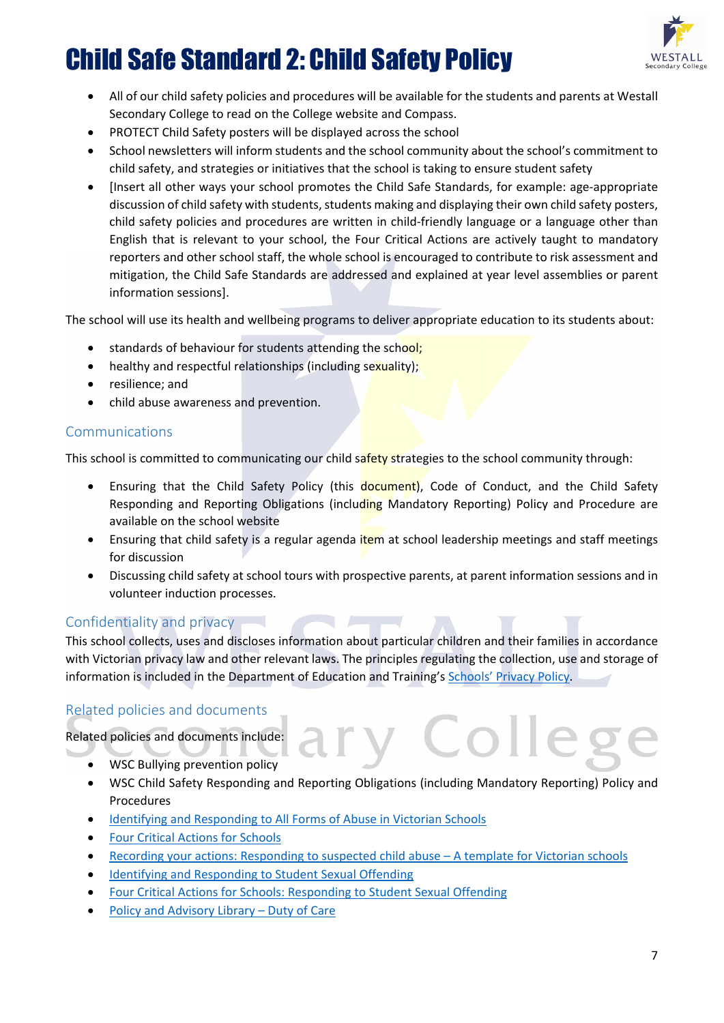

- All of our child safety policies and procedures will be available for the students and parents at Westall Secondary College to read on the College website and Compass.
- PROTECT Child Safety posters will be displayed across the school
- School newsletters will inform students and the school community about the school's commitment to child safety, and strategies or initiatives that the school is taking to ensure student safety
- [Insert all other ways your school promotes the Child Safe Standards, for example: age-appropriate discussion of child safety with students, students making and displaying their own child safety posters, child safety policies and procedures are written in child-friendly language or a language other than English that is relevant to your school, the Four Critical Actions are actively taught to mandatory reporters and other school staff, the whole school is encouraged to contribute to risk assessment and mitigation, the Child Safe Standards are addressed and explained at year level assemblies or parent information sessions].

The school will use its health and wellbeing programs to deliver appropriate education to its students about:

- standards of behaviour for students attending the school;
- healthy and respectful relationships (including sexuality);
- resilience; and
- child abuse awareness and prevention.

#### Communications

This school is committed to communicating our child safety strategies to the school community through:

- Ensuring that the Child Safety Policy (this document). Code of Conduct, and the Child Safety Responding and Reporting Obligations (including Mandatory Reporting) Policy and Procedure are available on the school website
- Ensuring that child safety is a regular agenda *item* at school leadership meetings and staff meetings for discussion
- Discussing child safety at school tours with prospective parents, at parent information sessions and in volunteer induction processes.

#### Confidentiality and privacy

This school collects, uses and discloses information about particular children and their families in accordance with Victorian privacy law and other relevant laws. The principles regulating the collection, use and storage of information is included in the Department of Education and Training's Schools' [Privacy Policy.](https://www.education.vic.gov.au/Pages/schoolsprivacypolicy.aspx)

#### Related policies and documents

Related policies and documents include:

- WSC Bullying prevention policy
- WSC Child Safety Responding and Reporting Obligations (including Mandatory Reporting) Policy and Procedures
- [Identifying and Responding to All Forms of Abuse in Victorian Schools](https://www.education.vic.gov.au/Documents/about/programs/health/protect/ChildSafeStandard5_SchoolsGuide.pdf)
- [Four Critical Actions for Schools](https://www.education.vic.gov.au/Documents/about/programs/health/protect/FourCriticalActions_ChildAbuse.pdf)
- [Recording your actions: Responding to suspected child abuse –](https://www.education.vic.gov.au/Documents/about/programs/health/protect/PROTECT_Schoolstemplate.pdf) A template for Victorian schools
- [Identifying and Responding to Student Sexual Offending](https://www.education.vic.gov.au/Documents/about/programs/health/protect/SSO_Policy.pdf)
- [Four Critical Actions for Schools: Responding to Student Sexual Offending](https://www.education.vic.gov.au/Documents/about/programs/health/protect/FourCriticalActions_SSO.pdf)
- [Policy and Advisory Library](https://www.education.vic.gov.au/school/principals/spag/safety/Pages/dutyofcare.aspx) Duty of Care